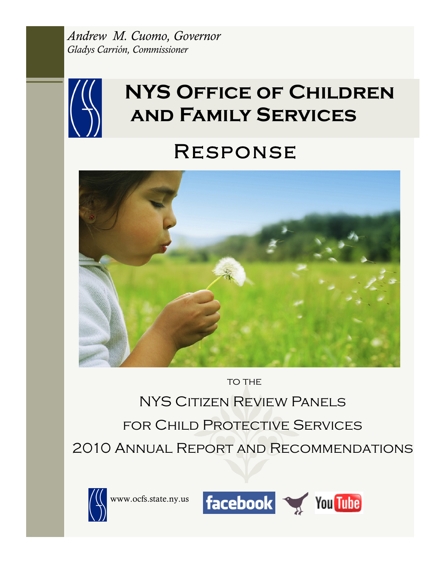*Andrew M. Cuomo, Governor Gladys Carrión, Commissioner* 



# **NYS Office of Children and Family Services**

# Response



TO THE

NYS Citizen Review Panels for Child Protective Services 2010 Annual Report and Recommendations



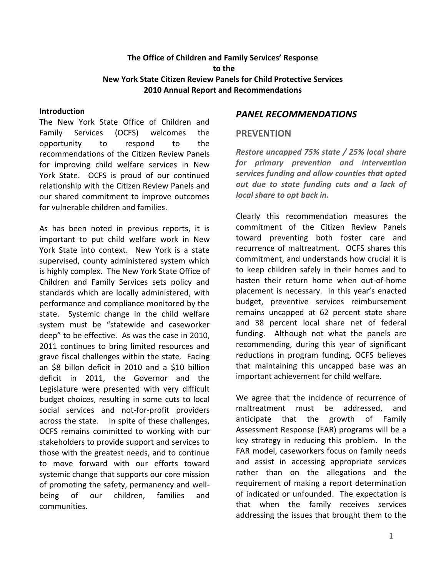### **The Office of Children and Family Services' Response to the New York State Citizen Review Panels for Child Protective Services 2010 Annual Report and Recommendations**

#### **Introduction**

The New York State Office of Children and Family Services (OCFS) welcomes the opportunity to respond to the recommendations of the Citizen Review Panels for improving child welfare services in New York State. OCFS is proud of our continued relationship with the Citizen Review Panels and our shared commitment to improve outcomes for vulnerable children and families.

As has been noted in previous reports, it is important to put child welfare work in New York State into context. New York is a state supervised, county administered system which is highly complex. The New York State Office of Children and Family Services sets policy and standards which are locally administered, with performance and compliance monitored by the state. Systemic change in the child welfare system must be "statewide and caseworker deep" to be effective. As was the case in 2010, 2011 continues to bring limited resources and grave fiscal challenges within the state. Facing an \$8 billon deficit in 2010 and a \$10 billion deficit in 2011, the Governor and the Legislature were presented with very difficult budget choices, resulting in some cuts to local social services and not-for-profit providers across the state. In spite of these challenges, OCFS remains committed to working with our stakeholders to provide support and services to those with the greatest needs, and to continue to move forward with our efforts toward systemic change that supports our core mission of promoting the safety, permanency and wellbeing of our children, families and communities.

#### *PANEL RECOMMENDATIONS*

#### **PREVENTION**

*Restore uncapped 75% state / 25% local share for primary prevention and intervention services funding and allow counties that opted out due to state funding cuts and a lack of local share to opt back in.*

Clearly this recommendation measures the commitment of the Citizen Review Panels toward preventing both foster care and recurrence of maltreatment. OCFS shares this commitment, and understands how crucial it is to keep children safely in their homes and to hasten their return home when out-of-home placement is necessary. In this year's enacted budget, preventive services reimbursement remains uncapped at 62 percent state share and 38 percent local share net of federal funding. Although not what the panels are recommending, during this year of significant reductions in program funding, OCFS believes that maintaining this uncapped base was an important achievement for child welfare.

We agree that the incidence of recurrence of maltreatment must be addressed, and anticipate that the growth of Family Assessment Response (FAR) programs will be a key strategy in reducing this problem. In the FAR model, caseworkers focus on family needs and assist in accessing appropriate services rather than on the allegations and the requirement of making a report determination of indicated or unfounded. The expectation is that when the family receives services addressing the issues that brought them to the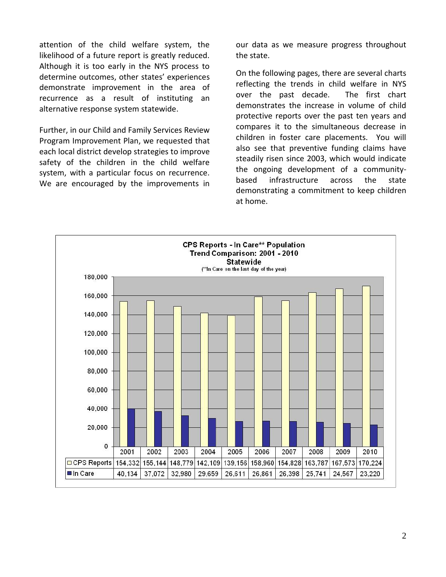attention of the child welfare system, the likelihood of a future report is greatly reduced. Although it is too early in the NYS process to determine outcomes, other states' experiences demonstrate improvement in the area of recurrence as a result of instituting an alternative response system statewide.

Further, in our Child and Family Services Review Program Improvement Plan, we requested that each local district develop strategies to improve safety of the children in the child welfare system, with a particular focus on recurrence. We are encouraged by the improvements in our data as we measure progress throughout the state.

On the following pages, there are several charts reflecting the trends in child welfare in NYS over the past decade. The first chart demonstrates the increase in volume of child protective reports over the past ten years and compares it to the simultaneous decrease in children in foster care placements. You will also see that preventive funding claims have steadily risen since 2003, which would indicate the ongoing development of a communitybased infrastructure across the state demonstrating a commitment to keep children at home.

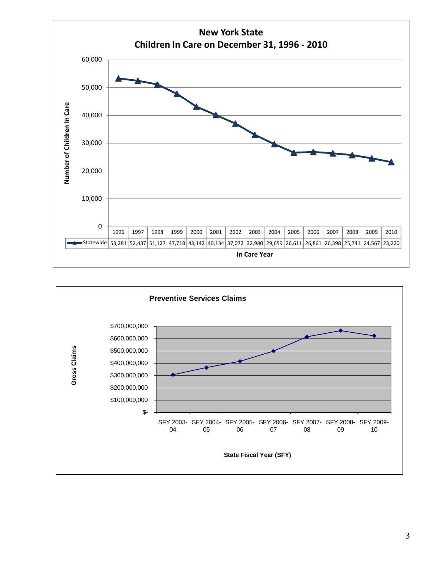

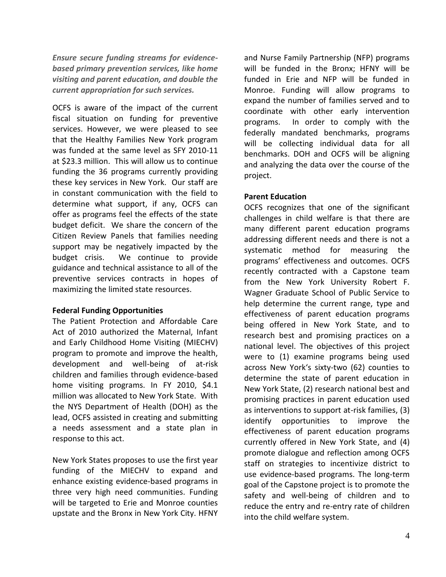*Ensure secure funding streams for evidencebased primary prevention services, like home visiting and parent education, and double the current appropriation for such services.*

OCFS is aware of the impact of the current fiscal situation on funding for preventive services. However, we were pleased to see that the Healthy Families New York program was funded at the same level as SFY 2010-11 at \$23.3 million. This will allow us to continue funding the 36 programs currently providing these key services in New York. Our staff are in constant communication with the field to determine what support, if any, OCFS can offer as programs feel the effects of the state budget deficit. We share the concern of the Citizen Review Panels that families needing support may be negatively impacted by the budget crisis. We continue to provide guidance and technical assistance to all of the preventive services contracts in hopes of maximizing the limited state resources.

#### **Federal Funding Opportunities**

The Patient Protection and Affordable Care Act of 2010 authorized the Maternal, Infant and Early Childhood Home Visiting (MIECHV) program to promote and improve the health, development and well-being of at-risk children and families through evidence-based home visiting programs. In FY 2010, \$4.1 million was allocated to New York State. With the NYS Department of Health (DOH) as the lead, OCFS assisted in creating and submitting a needs assessment and a state plan in response to this act.

New York States proposes to use the first year funding of the MIECHV to expand and enhance existing evidence-based programs in three very high need communities. Funding will be targeted to Erie and Monroe counties upstate and the Bronx in New York City. HFNY

and Nurse Family Partnership (NFP) programs will be funded in the Bronx; HFNY will be funded in Erie and NFP will be funded in Monroe. Funding will allow programs to expand the number of families served and to coordinate with other early intervention programs. In order to comply with the federally mandated benchmarks, programs will be collecting individual data for all benchmarks. DOH and OCFS will be aligning and analyzing the data over the course of the project.

#### **Parent Education**

OCFS recognizes that one of the significant challenges in child welfare is that there are many different parent education programs addressing different needs and there is not a systematic method for measuring the programs' effectiveness and outcomes. OCFS recently contracted with a Capstone team from the New York University Robert F. Wagner Graduate School of Public Service to help determine the current range, type and effectiveness of parent education programs being offered in New York State, and to research best and promising practices on a national level. The objectives of this project were to (1) examine programs being used across New York's sixty-two (62) counties to determine the state of parent education in New York State, (2) research national best and promising practices in parent education used as interventions to support at-risk families, (3) identify opportunities to improve the effectiveness of parent education programs currently offered in New York State, and (4) promote dialogue and reflection among OCFS staff on strategies to incentivize district to use evidence-based programs. The long-term goal of the Capstone project is to promote the safety and well-being of children and to reduce the entry and re-entry rate of children into the child welfare system.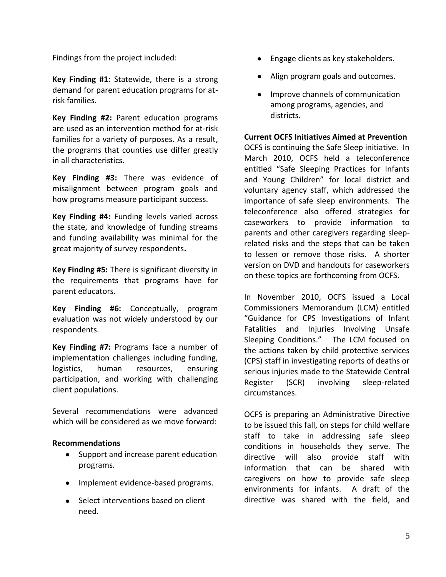Findings from the project included:

**Key Finding #1**: Statewide, there is a strong demand for parent education programs for atrisk families.

**Key Finding #2:** Parent education programs are used as an intervention method for at-risk families for a variety of purposes. As a result, the programs that counties use differ greatly in all characteristics.

**Key Finding #3:** There was evidence of misalignment between program goals and how programs measure participant success.

**Key Finding #4:** Funding levels varied across the state, and knowledge of funding streams and funding availability was minimal for the great majority of survey respondents**.** 

**Key Finding #5:** There is significant diversity in the requirements that programs have for parent educators.

**Key Finding #6:** Conceptually, program evaluation was not widely understood by our respondents.

**Key Finding #7:** Programs face a number of implementation challenges including funding, logistics, human resources, ensuring participation, and working with challenging client populations.

Several recommendations were advanced which will be considered as we move forward:

### **Recommendations**

- Support and increase parent education programs.
- Implement evidence-based programs.
- Select interventions based on client need.
- Engage clients as key stakeholders.
- Align program goals and outcomes.
- Improve channels of communication among programs, agencies, and districts.

**Current OCFS Initiatives Aimed at Prevention**

OCFS is continuing the Safe Sleep initiative. In March 2010, OCFS held a teleconference entitled "Safe Sleeping Practices for Infants and Young Children" for local district and voluntary agency staff, which addressed the importance of safe sleep environments. The teleconference also offered strategies for caseworkers to provide information to parents and other caregivers regarding sleeprelated risks and the steps that can be taken to lessen or remove those risks. A shorter version on DVD and handouts for caseworkers on these topics are forthcoming from OCFS.

In November 2010, OCFS issued a Local Commissioners Memorandum (LCM) entitled "Guidance for CPS Investigations of Infant Fatalities and Injuries Involving Unsafe Sleeping Conditions." The LCM focused on the actions taken by child protective services (CPS) staff in investigating reports of deaths or serious injuries made to the Statewide Central Register (SCR) involving sleep-related circumstances.

OCFS is preparing an Administrative Directive to be issued this fall, on steps for child welfare staff to take in addressing safe sleep conditions in households they serve. The directive will also provide staff with information that can be shared with caregivers on how to provide safe sleep environments for infants. A draft of the directive was shared with the field, and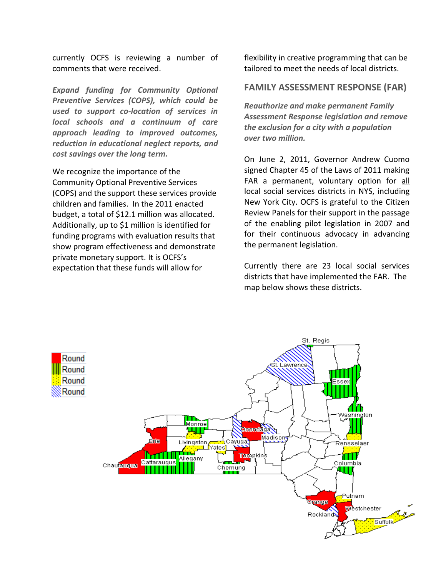currently OCFS is reviewing a number of comments that were received.

*Expand funding for Community Optional Preventive Services (COPS), which could be used to support co-location of services in local schools and a continuum of care approach leading to improved outcomes, reduction in educational neglect reports, and cost savings over the long term.* 

We recognize the importance of the Community Optional Preventive Services (COPS) and the support these services provide children and families. In the 2011 enacted budget, a total of \$12.1 million was allocated. Additionally, up to \$1 million is identified for funding programs with evaluation results that show program effectiveness and demonstrate private monetary support. It is OCFS's expectation that these funds will allow for

flexibility in creative programming that can be tailored to meet the needs of local districts.

#### **FAMILY ASSESSMENT RESPONSE (FAR)**

*Reauthorize and make permanent Family Assessment Response legislation and remove the exclusion for a city with a population over two million.*

On June 2, 2011, Governor Andrew Cuomo signed Chapter 45 of the Laws of 2011 making FAR a permanent, voluntary option for all local social services districts in NYS, including New York City. OCFS is grateful to the Citizen Review Panels for their support in the passage of the enabling pilot legislation in 2007 and for their continuous advocacy in advancing the permanent legislation.

Currently there are 23 local social services districts that have implemented the FAR. The map below shows these districts.

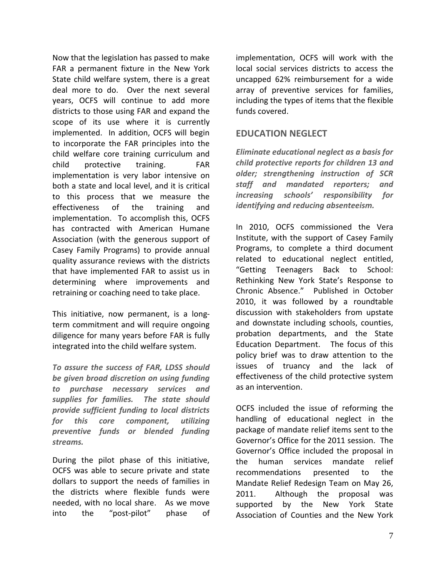Now that the legislation has passed to make FAR a permanent fixture in the New York State child welfare system, there is a great deal more to do. Over the next several years, OCFS will continue to add more districts to those using FAR and expand the scope of its use where it is currently implemented. In addition, OCFS will begin to incorporate the FAR principles into the child welfare core training curriculum and child protective training. FAR implementation is very labor intensive on both a state and local level, and it is critical to this process that we measure the effectiveness of the training and implementation. To accomplish this, OCFS has contracted with American Humane Association (with the generous support of Casey Family Programs) to provide annual quality assurance reviews with the districts that have implemented FAR to assist us in determining where improvements and retraining or coaching need to take place.

This initiative, now permanent, is a longterm commitment and will require ongoing diligence for many years before FAR is fully integrated into the child welfare system.

*To assure the success of FAR, LDSS should be given broad discretion on using funding to purchase necessary services and supplies for families. The state should provide sufficient funding to local districts for this core component, utilizing preventive funds or blended funding streams.*

During the pilot phase of this initiative, OCFS was able to secure private and state dollars to support the needs of families in the districts where flexible funds were needed, with no local share. As we move into the "post-pilot" phase of implementation, OCFS will work with the local social services districts to access the uncapped 62% reimbursement for a wide array of preventive services for families, including the types of items that the flexible funds covered.

## **EDUCATION NEGLECT**

*Eliminate educational neglect as a basis for child protective reports for children 13 and older; strengthening instruction of SCR staff and mandated reporters; and increasing schools' responsibility for identifying and reducing absenteeism.*

In 2010, OCFS commissioned the Vera Institute, with the support of Casey Family Programs, to complete a third document related to educational neglect entitled, "Getting Teenagers Back to School: Rethinking New York State's Response to Chronic Absence." Published in October 2010, it was followed by a roundtable discussion with stakeholders from upstate and downstate including schools, counties, probation departments, and the State Education Department. The focus of this policy brief was to draw attention to the issues of truancy and the lack of effectiveness of the child protective system as an intervention.

OCFS included the issue of reforming the handling of educational neglect in the package of mandate relief items sent to the Governor's Office for the 2011 session. The Governor's Office included the proposal in the human services mandate relief recommendations presented to the Mandate Relief Redesign Team on May 26, 2011. Although the proposal was supported by the New York State Association of Counties and the New York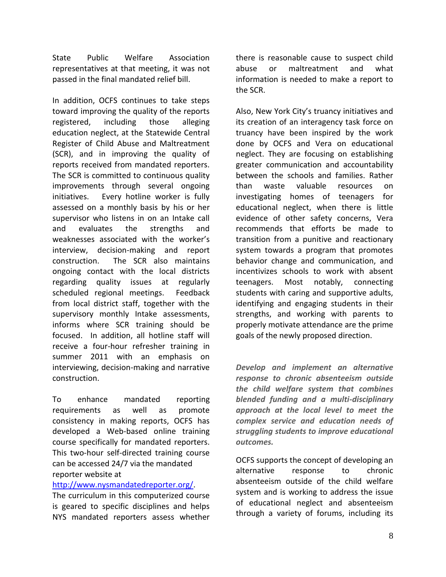State Public Welfare Association representatives at that meeting, it was not passed in the final mandated relief bill.

In addition, OCFS continues to take steps toward improving the quality of the reports registered, including those alleging education neglect, at the Statewide Central Register of Child Abuse and Maltreatment (SCR), and in improving the quality of reports received from mandated reporters. The SCR is committed to continuous quality improvements through several ongoing initiatives. Every hotline worker is fully assessed on a monthly basis by his or her supervisor who listens in on an Intake call and evaluates the strengths and weaknesses associated with the worker's interview, decision-making and report construction. The SCR also maintains ongoing contact with the local districts regarding quality issues at regularly scheduled regional meetings. Feedback from local district staff, together with the supervisory monthly Intake assessments, informs where SCR training should be focused. In addition, all hotline staff will receive a four-hour refresher training in summer 2011 with an emphasis on interviewing, decision-making and narrative construction.

To enhance mandated reporting requirements as well as promote consistency in making reports, OCFS has developed a Web-based online training course specifically for mandated reporters. This two-hour self-directed training course can be accessed 24/7 via the mandated reporter website at

#### [http://www.nysmandatedreporter.org/.](http://www.nysmandatedreporter.org/)

The curriculum in this computerized course is geared to specific disciplines and helps NYS mandated reporters assess whether there is reasonable cause to suspect child abuse or maltreatment and what information is needed to make a report to the SCR.

Also, New York City's truancy initiatives and its creation of an interagency task force on truancy have been inspired by the work done by OCFS and Vera on educational neglect. They are focusing on establishing greater communication and accountability between the schools and families. Rather than waste valuable resources on investigating homes of teenagers for educational neglect, when there is little evidence of other safety concerns, Vera recommends that efforts be made to transition from a punitive and reactionary system towards a program that promotes behavior change and communication, and incentivizes schools to work with absent teenagers. Most notably, connecting students with caring and supportive adults, identifying and engaging students in their strengths, and working with parents to properly motivate attendance are the prime goals of the newly proposed direction.

*Develop and implement an alternative response to chronic absenteeism outside the child welfare system that combines blended funding and a multi-disciplinary approach at the local level to meet the complex service and education needs of struggling students to improve educational outcomes.* 

OCFS supports the concept of developing an alternative response to chronic absenteeism outside of the child welfare system and is working to address the issue of educational neglect and absenteeism through a variety of forums, including its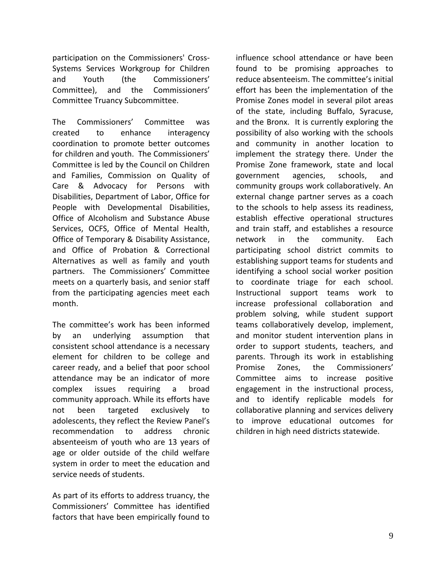participation on the Commissioners' Cross-Systems Services Workgroup for Children and Youth (the Commissioners' Committee), and the Commissioners' Committee Truancy Subcommittee.

The Commissioners' Committee was created to enhance interagency coordination to promote better outcomes for children and youth. The Commissioners' Committee is led by the Council on Children and Families, Commission on Quality of Care & Advocacy for Persons with Disabilities, Department of Labor, Office for People with Developmental Disabilities, Office of Alcoholism and Substance Abuse Services, OCFS, Office of Mental Health, Office of Temporary & Disability Assistance, and Office of Probation & Correctional Alternatives as well as family and youth partners. The Commissioners' Committee meets on a quarterly basis, and senior staff from the participating agencies meet each month.

The committee's work has been informed by an underlying assumption that consistent school attendance is a necessary element for children to be college and career ready, and a belief that poor school attendance may be an indicator of more complex issues requiring a broad community approach. While its efforts have not been targeted exclusively to adolescents, they reflect the Review Panel's recommendation to address chronic absenteeism of youth who are 13 years of age or older outside of the child welfare system in order to meet the education and service needs of students.

As part of its efforts to address truancy, the Commissioners' Committee has identified factors that have been empirically found to

influence school attendance or have been found to be promising approaches to reduce absenteeism. The committee's initial effort has been the implementation of the Promise Zones model in several pilot areas of the state, including Buffalo, Syracuse, and the Bronx. It is currently exploring the possibility of also working with the schools and community in another location to implement the strategy there. Under the Promise Zone framework, state and local government agencies, schools, and community groups work collaboratively. An external change partner serves as a coach to the schools to help assess its readiness, establish effective operational structures and train staff, and establishes a resource network in the community. Each participating school district commits to establishing support teams for students and identifying a school social worker position to coordinate triage for each school. Instructional support teams work to increase professional collaboration and problem solving, while student support teams collaboratively develop, implement, and monitor student intervention plans in order to support students, teachers, and parents. Through its work in establishing Promise Zones, the Commissioners' Committee aims to increase positive engagement in the instructional process, and to identify replicable models for collaborative planning and services delivery to improve educational outcomes for children in high need districts statewide.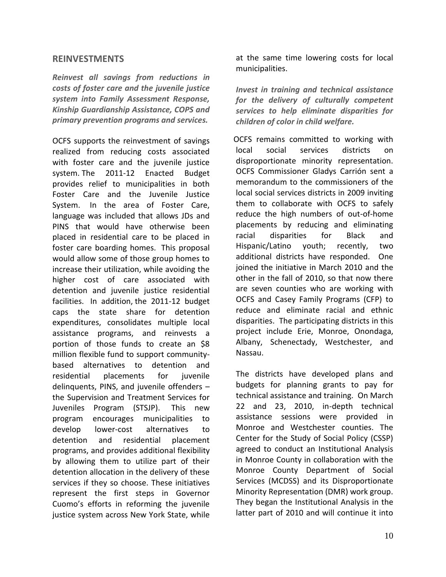#### **REINVESTMENTS**

*Reinvest all savings from reductions in costs of foster care and the juvenile justice system into Family Assessment Response, Kinship Guardianship Assistance, COPS and primary prevention programs and services.*

OCFS supports the reinvestment of savings realized from reducing costs associated with foster care and the juvenile justice system. The 2011-12 Enacted Budget provides relief to municipalities in both Foster Care and the Juvenile Justice System. In the area of Foster Care, language was included that allows JDs and PINS that would have otherwise been placed in residential care to be placed in foster care boarding homes. This proposal would allow some of those group homes to increase their utilization, while avoiding the higher cost of care associated with detention and juvenile justice residential facilities. In addition, the 2011-12 budget caps the state share for detention expenditures, consolidates multiple local assistance programs, and reinvests a portion of those funds to create an \$8 million flexible fund to support communitybased alternatives to detention and residential placements for juvenile delinquents, PINS, and juvenile offenders – the Supervision and Treatment Services for Juveniles Program (STSJP). This new program encourages municipalities to develop lower-cost alternatives to detention and residential placement programs, and provides additional flexibility by allowing them to utilize part of their detention allocation in the delivery of these services if they so choose. These initiatives represent the first steps in Governor Cuomo's efforts in reforming the juvenile justice system across New York State, while

at the same time lowering costs for local municipalities.

*Invest in training and technical assistance for the delivery of culturally competent services to help eliminate disparities for children of color in child welfare.* 

 OCFS remains committed to working with local social services districts on disproportionate minority representation. OCFS Commissioner Gladys Carrión sent a memorandum to the commissioners of the local social services districts in 2009 inviting them to collaborate with OCFS to safely reduce the high numbers of out-of-home placements by reducing and eliminating racial disparities for Black and Hispanic/Latino youth; recently, two additional districts have responded. One joined the initiative in March 2010 and the other in the fall of 2010, so that now there are seven counties who are working with OCFS and Casey Family Programs (CFP) to reduce and eliminate racial and ethnic disparities. The participating districts in this project include Erie, Monroe, Onondaga, Albany, Schenectady, Westchester, and Nassau.

The districts have developed plans and budgets for planning grants to pay for technical assistance and training. On March 22 and 23, 2010, in-depth technical assistance sessions were provided in Monroe and Westchester counties. The Center for the Study of Social Policy (CSSP) agreed to conduct an Institutional Analysis in Monroe County in collaboration with the Monroe County Department of Social Services (MCDSS) and its Disproportionate Minority Representation (DMR) work group. They began the Institutional Analysis in the latter part of 2010 and will continue it into